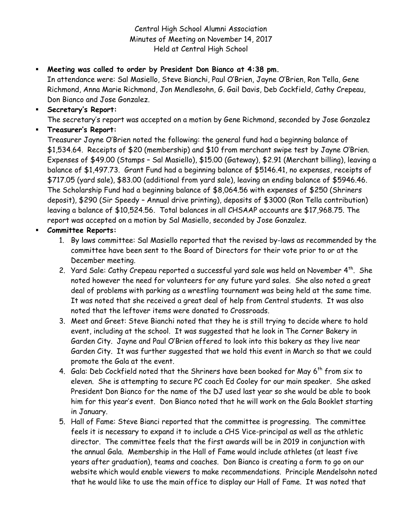Central High School Alumni Association Minutes of Meeting on November 14, 2017 Held at Central High School

## **Meeting was called to order by President Don Bianco at 4:38 pm.**

In attendance were: Sal Masiello, Steve Bianchi, Paul O'Brien, Jayne O'Brien, Ron Tella, Gene Richmond, Anna Marie Richmond, Jon Mendlesohn, G. Gail Davis, Deb Cockfield, Cathy Crepeau, Don Bianco and Jose Gonzalez.

**Secretary's Report:**

The secretary's report was accepted on a motion by Gene Richmond, seconded by Jose Gonzalez

## **Treasurer's Report:**

Treasurer Jayne O'Brien noted the following: the general fund had a beginning balance of \$1,534.64. Receipts of \$20 (membership) and \$10 from merchant swipe test by Jayne O'Brien. Expenses of \$49.00 (Stamps – Sal Masiello), \$15.00 (Gateway), \$2.91 (Merchant billing), leaving a balance of \$1,497.73. Grant Fund had a beginning balance of \$5146.41, no expenses, receipts of \$717.05 (yard sale), \$83.00 (additional from yard sale), leaving an ending balance of \$5946.46. The Scholarship Fund had a beginning balance of \$8,064.56 with expenses of \$250 (Shriners deposit), \$290 (Sir Speedy – Annual drive printing), deposits of \$3000 (Ron Tella contribution) leaving a balance of \$10,524.56. Total balances in all CHSAAP accounts are \$17,968.75. The report was accepted on a motion by Sal Masiello, seconded by Jose Gonzalez.

# **Committee Reports:**

- 1. By laws committee: Sal Masiello reported that the revised by-laws as recommended by the committee have been sent to the Board of Directors for their vote prior to or at the December meeting.
- 2. Yard Sale: Cathy Crepeau reported a successful yard sale was held on November 4<sup>th</sup>. She noted however the need for volunteers for any future yard sales. She also noted a great deal of problems with parking as a wrestling tournament was being held at the same time. It was noted that she received a great deal of help from Central students. It was also noted that the leftover items were donated to Crossroads.
- 3. Meet and Greet: Steve Bianchi noted that they he is still trying to decide where to hold event, including at the school. It was suggested that he look in The Corner Bakery in Garden City. Jayne and Paul O'Brien offered to look into this bakery as they live near Garden City. It was further suggested that we hold this event in March so that we could promote the Gala at the event.
- 4. Gala: Deb Cockfield noted that the Shriners have been booked for May 6<sup>th</sup> from six to eleven. She is attempting to secure PC coach Ed Cooley for our main speaker. She asked President Don Bianco for the name of the DJ used last year so she would be able to book him for this year's event. Don Bianco noted that he will work on the Gala Booklet starting in January.
- 5. Hall of Fame: Steve Bianci reported that the committee is progressing. The committee feels it is necessary to expand it to include a CHS Vice-principal as well as the athletic director. The committee feels that the first awards will be in 2019 in conjunction with the annual Gala. Membership in the Hall of Fame would include athletes (at least five years after graduation), teams and coaches. Don Bianco is creating a form to go on our website which would enable viewers to make recommendations. Principle Mendelsohn noted that he would like to use the main office to display our Hall of Fame. It was noted that